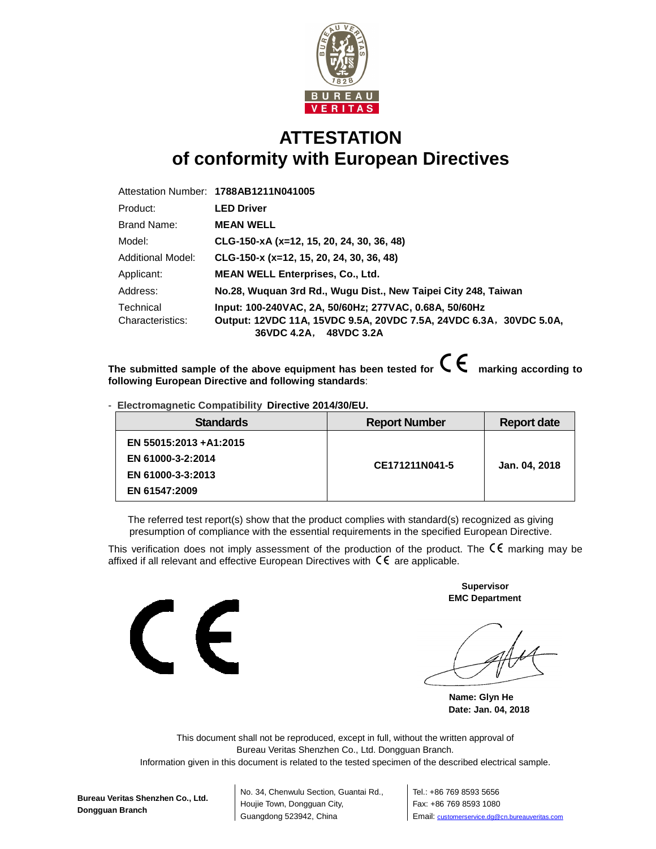

## **ATTESTATION of conformity with European Directives**

|                   | Attestation Number: 1788AB1211N041005                              |  |
|-------------------|--------------------------------------------------------------------|--|
| Product:          | <b>LED Driver</b>                                                  |  |
| Brand Name:       | <b>MEAN WELL</b>                                                   |  |
| Model:            | CLG-150-xA (x=12, 15, 20, 24, 30, 36, 48)                          |  |
| Additional Model: | $CLG-150-x (x=12, 15, 20, 24, 30, 36, 48)$                         |  |
| Applicant:        | <b>MEAN WELL Enterprises, Co., Ltd.</b>                            |  |
| Address:          | No.28, Wuquan 3rd Rd., Wugu Dist., New Taipei City 248, Taiwan     |  |
| Technical         | Input: 100-240VAC, 2A, 50/60Hz; 277VAC, 0.68A, 50/60Hz             |  |
| Characteristics:  | Output: 12VDC 11A, 15VDC 9.5A, 20VDC 7.5A, 24VDC 6.3A, 30VDC 5.0A, |  |
|                   | 36VDC 4.2A, 48VDC 3.2A                                             |  |

The submitted sample of the above equipment has been tested for  $\mathsf{C}\,\mathsf{C}\,$  marking according to **following European Directive and following standards**:

- **Electromagnetic Compatibility Directive 2014/30/EU.**

| <b>Standards</b>                                                                   | <b>Report Number</b> | <b>Report date</b> |
|------------------------------------------------------------------------------------|----------------------|--------------------|
| EN 55015:2013 + A1:2015<br>EN 61000-3-2:2014<br>EN 61000-3-3:2013<br>EN 61547:2009 | CE171211N041-5       | Jan. 04, 2018      |

The referred test report(s) show that the product complies with standard(s) recognized as giving presumption of compliance with the essential requirements in the specified European Directive.

This verification does not imply assessment of the production of the product. The  $\mathsf{CE}\xspace$  marking may be affixed if all relevant and effective European Directives with  $\zeta \epsilon$  are applicable.



 **Supervisor EMC Department** 

**Name: Glyn He Date: Jan. 04, 2018** 

This document shall not be reproduced, except in full, without the written approval of Bureau Veritas Shenzhen Co., Ltd. Dongguan Branch. Information given in this document is related to the tested specimen of the described electrical sample.

**Bureau Veritas Shenzhen Co., Ltd. Dongguan Branch**

No. 34, Chenwulu Section, Guantai Rd., Houjie Town, Dongguan City, Guangdong 523942, China

Tel.: +86 769 8593 5656 Fax: +86 769 8593 1080 Email: customerservice.dg@cn.bureauveritas.com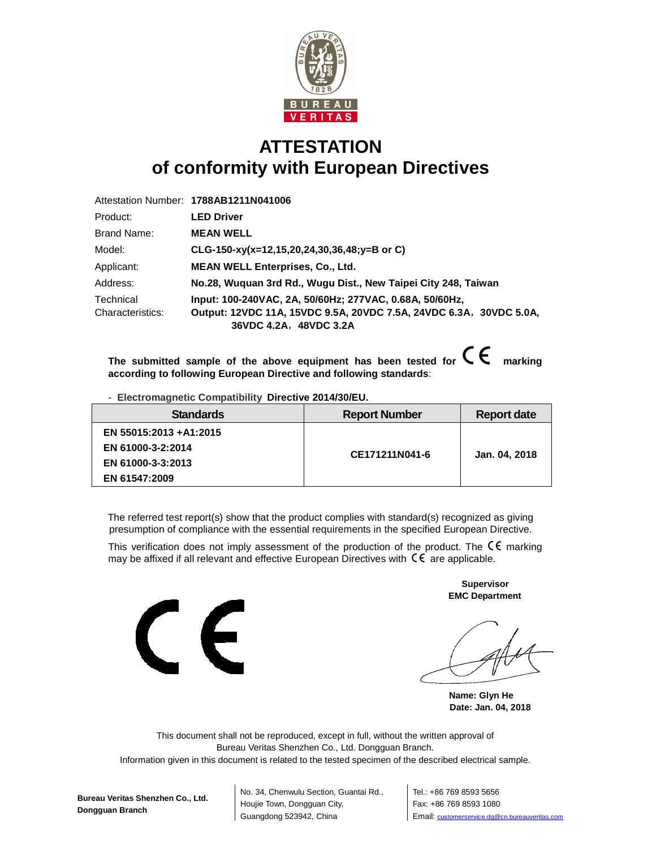

## **ATTESTATION of conformity with European Directives**

|                  | Attestation Number: 1788AB1211N041006                                                        |
|------------------|----------------------------------------------------------------------------------------------|
| Product:         | <b>LED Driver</b>                                                                            |
| Brand Name:      | <b>MEAN WELL</b>                                                                             |
| Model:           | CLG-150-xy(x=12,15,20,24,30,36,48;y=B or C)                                                  |
| Applicant:       | <b>MEAN WELL Enterprises, Co., Ltd.</b>                                                      |
| Address:         | No.28, Wuquan 3rd Rd., Wuqu Dist., New Taipei City 248, Taiwan                               |
| Technical        | Input: 100-240VAC, 2A, 50/60Hz; 277VAC, 0.68A, 50/60Hz,                                      |
| Characteristics: | Output: 12VDC 11A, 15VDC 9.5A, 20VDC 7.5A, 24VDC 6.3A, 30VDC 5.0A,<br>36VDC 4.2A, 48VDC 3.2A |

The submitted sample of the above equipment has been tested for  $\mathsf{C}\,\mathsf{C}$  marking **according to following European Directive and following standards**:

- **Electromagnetic Compatibility Directive 2014/30/EU.**

| <b>Standards</b>       | <b>Report Number</b> | <b>Report date</b> |
|------------------------|----------------------|--------------------|
| EN 55015:2013 +A1:2015 |                      |                    |
| EN 61000-3-2:2014      | CE171211N041-6       | Jan. 04, 2018      |
| EN 61000-3-3:2013      |                      |                    |
| EN 61547:2009          |                      |                    |

The referred test report(s) show that the product complies with standard(s) recognized as giving presumption of compliance with the essential requirements in the specified European Directive.

This verification does not imply assessment of the production of the product. The  $\mathsf{C}\mathsf{E}$  marking may be affixed if all relevant and effective European Directives with  $\zeta \epsilon$  are applicable.



 **Supervisor EMC Department** 

**Name: Glyn He Date: Jan. 04, 2018** 

This document shall not be reproduced, except in full, without the written approval of Bureau Veritas Shenzhen Co., Ltd. Dongguan Branch.

Information given in this document is related to the tested specimen of the described electrical sample.

No. 34, Chenwulu Section, Guantai Rd., Houjie Town, Dongguan City, Guangdong 523942, China

Tel.: +86 769 8593 5656 Fax: +86 769 8593 1080 Email: customerservice.dg@cn.bureauveritas.com